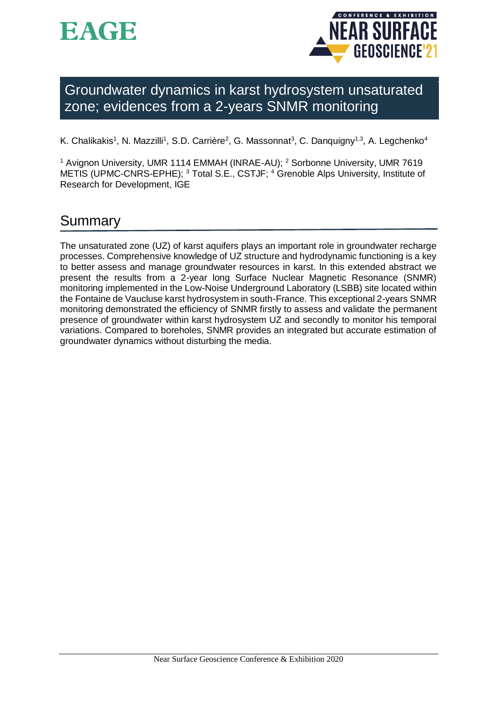



Groundwater dynamics in karst hydrosystem unsaturated zone; evidences from a 2-years SNMR monitoring

K. Chalikakis<sup>1</sup>, N. Mazzilli<sup>1</sup>, S.D. Carrière<sup>2</sup>, G. Massonnat<sup>3</sup>, C. Danquigny<sup>1,3</sup>, A. Legchenko<sup>4</sup>

<sup>1</sup> Avignon University, UMR 1114 EMMAH (INRAE-AU); <sup>2</sup> Sorbonne University, UMR 7619 METIS (UPMC-CNRS-EPHE); <sup>3</sup> Total S.E., CSTJF; <sup>4</sup> Grenoble Alps University, Institute of Research for Development, IGE

# Summary

The unsaturated zone (UZ) of karst aquifers plays an important role in groundwater recharge processes. Comprehensive knowledge of UZ structure and hydrodynamic functioning is a key to better assess and manage groundwater resources in karst. In this extended abstract we present the results from a 2-year long Surface Nuclear Magnetic Resonance (SNMR) monitoring implemented in the Low-Noise Underground Laboratory (LSBB) site located within the Fontaine de Vaucluse karst hydrosystem in south-France. This exceptional 2-years SNMR monitoring demonstrated the efficiency of SNMR firstly to assess and validate the permanent presence of groundwater within karst hydrosystem UZ and secondly to monitor his temporal variations. Compared to boreholes, SNMR provides an integrated but accurate estimation of groundwater dynamics without disturbing the media.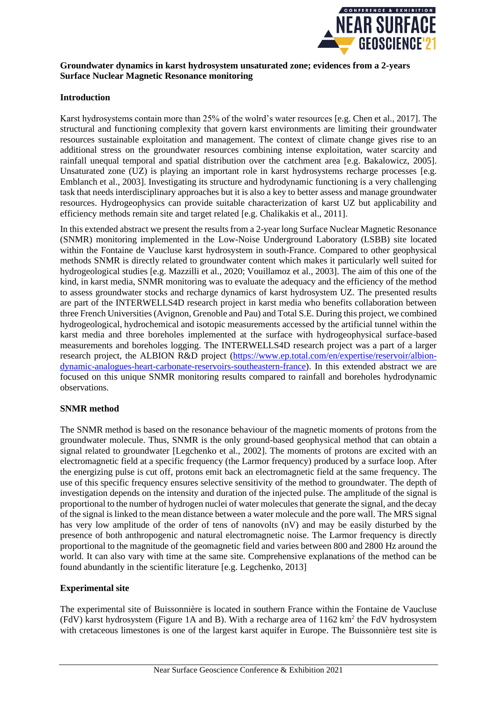

# **Groundwater dynamics in karst hydrosystem unsaturated zone; evidences from a 2-years Surface Nuclear Magnetic Resonance monitoring**

# **Introduction**

Karst hydrosystems contain more than 25% of the wolrd's water resources [e.g. Chen et al., 2017]. The structural and functioning complexity that govern karst environments are limiting their groundwater resources sustainable exploitation and management. The context of climate change gives rise to an additional stress on the groundwater resources combining intense exploitation, water scarcity and rainfall unequal temporal and spatial distribution over the catchment area [e.g. Bakalowicz, 2005]. Unsaturated zone (UZ) is playing an important role in karst hydrosystems recharge processes [e.g. Emblanch et al., 2003]. Investigating its structure and hydrodynamic functioning is a very challenging task that needs interdisciplinary approaches but it is also a key to better assess and manage groundwater resources. Hydrogeophysics can provide suitable characterization of karst UZ but applicability and efficiency methods remain site and target related [e.g. Chalikakis et al., 2011].

In this extended abstract we present the results from a 2-year long Surface Nuclear Magnetic Resonance (SNMR) monitoring implemented in the Low-Noise Underground Laboratory (LSBB) site located within the Fontaine de Vaucluse karst hydrosystem in south-France. Compared to other geophysical methods SNMR is directly related to groundwater content which makes it particularly well suited for hydrogeological studies [e.g. Mazzilli et al., 2020; Vouillamoz et al., 2003]. The aim of this one of the kind, in karst media, SNMR monitoring was to evaluate the adequacy and the efficiency of the method to assess groundwater stocks and recharge dynamics of karst hydrosystem UZ. The presented results are part of the INTERWELLS4D research project in karst media who benefits collaboration between three French Universities (Avignon, Grenoble and Pau) and Total S.E. During this project, we combined hydrogeological, hydrochemical and isotopic measurements accessed by the artificial tunnel within the karst media and three boreholes implemented at the surface with hydrogeophysical surface-based measurements and boreholes logging. The INTERWELLS4D research project was a part of a larger research project, the ALBION R&D project (https://www.ep.total.com/en/expertise/reservoir/albiondynamic-analogues-heart-carbonate-reservoirs-southeastern-france). In this extended abstract we are focused on this unique SNMR monitoring results compared to rainfall and boreholes hydrodynamic observations.

# **SNMR method**

The SNMR method is based on the resonance behaviour of the magnetic moments of protons from the groundwater molecule. Thus, SNMR is the only ground-based geophysical method that can obtain a signal related to groundwater [Legchenko et al., 2002]. The moments of protons are excited with an electromagnetic field at a specific frequency (the Larmor frequency) produced by a surface loop. After the energizing pulse is cut off, protons emit back an electromagnetic field at the same frequency. The use of this specific frequency ensures selective sensitivity of the method to groundwater. The depth of investigation depends on the intensity and duration of the injected pulse. The amplitude of the signal is proportional to the number of hydrogen nuclei of water molecules that generate the signal, and the decay of the signal is linked to the mean distance between a water molecule and the pore wall. The MRS signal has very low amplitude of the order of tens of nanovolts (nV) and may be easily disturbed by the presence of both anthropogenic and natural electromagnetic noise. The Larmor frequency is directly proportional to the magnitude of the geomagnetic field and varies between 800 and 2800 Hz around the world. It can also vary with time at the same site. Comprehensive explanations of the method can be found abundantly in the scientific literature [e.g. Legchenko, 2013]

## **Experimental site**

The experimental site of Buissonnière is located in southern France within the Fontaine de Vaucluse (FdV) karst hydrosystem (Figure 1A and B). With a recharge area of  $1162 \text{ km}^2$  the FdV hydrosystem with cretaceous limestones is one of the largest karst aquifer in Europe. The Buissonnière test site is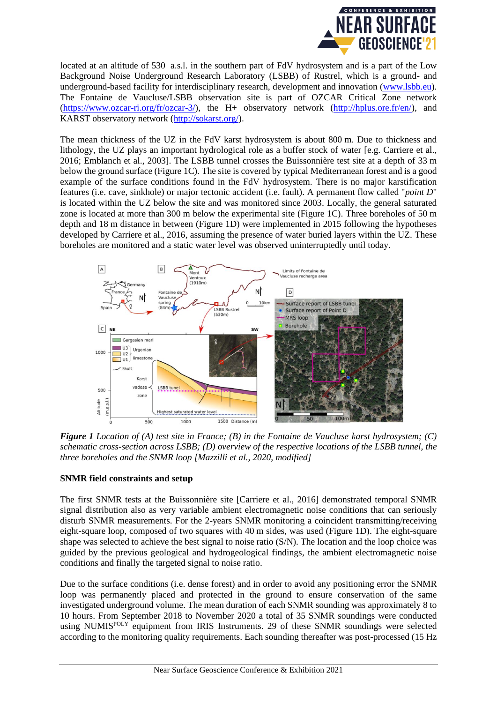

located at an altitude of 530 a.s.l. in the southern part of FdV hydrosystem and is a part of the Low Background Noise Underground Research Laboratory (LSBB) of Rustrel, which is a ground- and underground-based facility for interdisciplinary research, development and innovation (www.lsbb.eu). The Fontaine de Vaucluse/LSBB observation site is part of OZCAR Critical Zone network (https://www.ozcar-ri.org/fr/ozcar-3/), the H+ observatory network (http://hplus.ore.fr/en/), and KARST observatory network (http://sokarst.org/).

The mean thickness of the UZ in the FdV karst hydrosystem is about 800 m. Due to thickness and lithology, the UZ plays an important hydrological role as a buffer stock of water [e.g. Carriere et al., 2016; Emblanch et al., 2003]. The LSBB tunnel crosses the Buissonnière test site at a depth of 33 m below the ground surface (Figure 1C). The site is covered by typical Mediterranean forest and is a good example of the surface conditions found in the FdV hydrosystem. There is no major karstification features (i.e. cave, sinkhole) or major tectonic accident (i.e. fault). A permanent flow called "*point D*" is located within the UZ below the site and was monitored since 2003. Locally, the general saturated zone is located at more than 300 m below the experimental site (Figure 1C). Three boreholes of 50 m depth and 18 m distance in between (Figure 1D) were implemented in 2015 following the hypotheses developed by Carriere et al., 2016, assuming the presence of water buried layers within the UZ. These boreholes are monitored and a static water level was observed uninterruptedly until today.



*Figure 1 Location of (A) test site in France; (B) in the Fontaine de Vaucluse karst hydrosystem; (C) schematic cross-section across LSBB; (D) overview of the respective locations of the LSBB tunnel, the three boreholes and the SNMR loop [Mazzilli et al., 2020, modified]*

## **SNMR field constraints and setup**

The first SNMR tests at the Buissonnière site [Carriere et al., 2016] demonstrated temporal SNMR signal distribution also as very variable ambient electromagnetic noise conditions that can seriously disturb SNMR measurements. For the 2-years SNMR monitoring a coincident transmitting/receiving eight-square loop, composed of two squares with 40 m sides, was used (Figure 1D). The eight-square shape was selected to achieve the best signal to noise ratio (S/N). The location and the loop choice was guided by the previous geological and hydrogeological findings, the ambient electromagnetic noise conditions and finally the targeted signal to noise ratio.

Due to the surface conditions (i.e. dense forest) and in order to avoid any positioning error the SNMR loop was permanently placed and protected in the ground to ensure conservation of the same investigated underground volume. The mean duration of each SNMR sounding was approximately 8 to 10 hours. From September 2018 to November 2020 a total of 35 SNMR soundings were conducted using NUMIS<sup>POLY</sup> equipment from IRIS Instruments. 29 of these SNMR soundings were selected according to the monitoring quality requirements. Each sounding thereafter was post-processed (15 Hz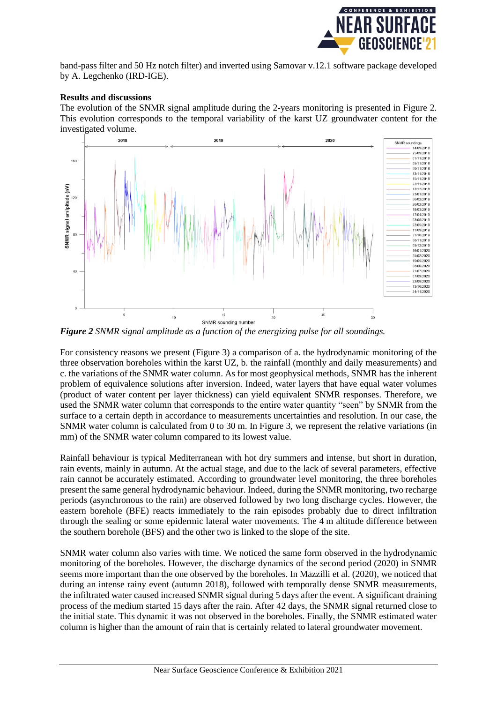

band-pass filter and 50 Hz notch filter) and inverted using Samovar v.12.1 software package developed by A. Legchenko (IRD-IGE).

#### **Results and discussions**

The evolution of the SNMR signal amplitude during the 2-years monitoring is presented in Figure 2. This evolution corresponds to the temporal variability of the karst UZ groundwater content for the investigated volume.



*Figure 2 SNMR signal amplitude as a function of the energizing pulse for all soundings.*

For consistency reasons we present (Figure 3) a comparison of a. the hydrodynamic monitoring of the three observation boreholes within the karst UZ, b. the rainfall (monthly and daily measurements) and c. the variations of the SNMR water column. As for most geophysical methods, SNMR has the inherent problem of equivalence solutions after inversion. Indeed, water layers that have equal water volumes (product of water content per layer thickness) can yield equivalent SNMR responses. Therefore, we used the SNMR water column that corresponds to the entire water quantity "seen" by SNMR from the surface to a certain depth in accordance to measurements uncertainties and resolution. In our case, the SNMR water column is calculated from 0 to 30 m. In Figure 3, we represent the relative variations (in mm) of the SNMR water column compared to its lowest value.

Rainfall behaviour is typical Mediterranean with hot dry summers and intense, but short in duration, rain events, mainly in autumn. At the actual stage, and due to the lack of several parameters, effective rain cannot be accurately estimated. According to groundwater level monitoring, the three boreholes present the same general hydrodynamic behaviour. Indeed, during the SNMR monitoring, two recharge periods (asynchronous to the rain) are observed followed by two long discharge cycles. However, the eastern borehole (BFE) reacts immediately to the rain episodes probably due to direct infiltration through the sealing or some epidermic lateral water movements. The 4 m altitude difference between the southern borehole (BFS) and the other two is linked to the slope of the site.

SNMR water column also varies with time. We noticed the same form observed in the hydrodynamic monitoring of the boreholes. However, the discharge dynamics of the second period (2020) in SNMR seems more important than the one observed by the boreholes. In Mazzilli et al. (2020), we noticed that during an intense rainy event (autumn 2018), followed with temporally dense SNMR measurements, the infiltrated water caused increased SNMR signal during 5 days after the event. A significant draining process of the medium started 15 days after the rain. After 42 days, the SNMR signal returned close to the initial state. This dynamic it was not observed in the boreholes. Finally, the SNMR estimated water column is higher than the amount of rain that is certainly related to lateral groundwater movement.